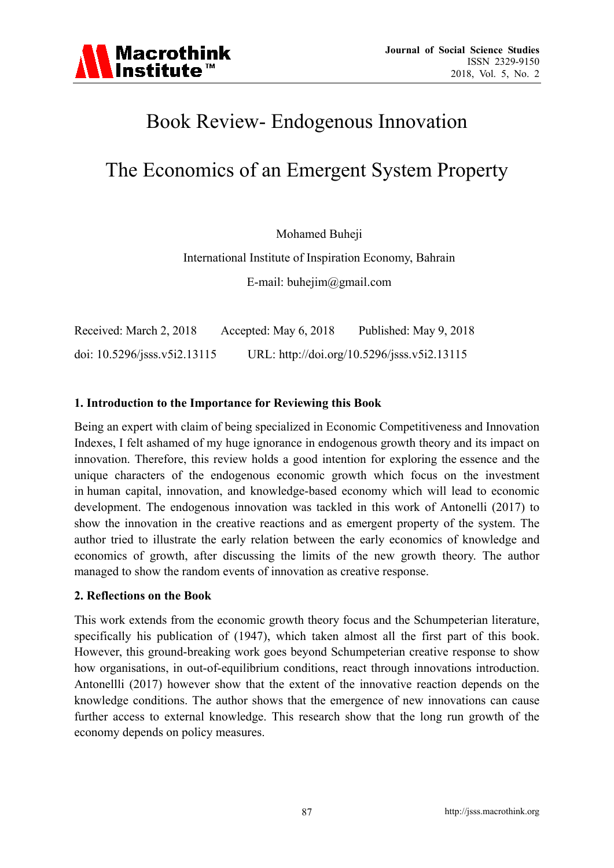

# Book Review- Endogenous Innovation

# The Economics of an Emergent System Property

Mohamed Buheji

International Institute of Inspiration Economy, Bahrain E-mail: buhejim@gmail.com

Received: March 2, 2018 Accepted: May 6, 2018 Published: May 9, 2018 doi: 10.5296/jsss.v5i2.13115 URL: http://doi.org/10.5296/jsss.v5i2.13115

## **1. Introduction to the Importance for Reviewing this Book**

Being an expert with claim of being specialized in Economic Competitiveness and Innovation Indexes, I felt ashamed of my huge ignorance in endogenous growth theory and its impact on innovation. Therefore, this review holds a good intention for exploring the essence and the unique characters of the endogenous economic growth which focus on the investment in human capital, innovation, and knowledge-based economy which will lead to economic development. The endogenous innovation was tackled in this work of Antonelli (2017) to show the innovation in the creative reactions and as emergent property of the system. The author tried to illustrate the early relation between the early economics of knowledge and economics of growth, after discussing the limits of the new growth theory. The author managed to show the random events of innovation as creative response.

#### **2. Reflections on the Book**

This work extends from the economic growth theory focus and the Schumpeterian literature, specifically his publication of (1947), which taken almost all the first part of this book. However, this ground-breaking work goes beyond Schumpeterian creative response to show how organisations, in out-of-equilibrium conditions, react through innovations introduction. Antonellli (2017) however show that the extent of the innovative reaction depends on the knowledge conditions. The author shows that the emergence of new innovations can cause further access to external knowledge. This research show that the long run growth of the economy depends on policy measures.